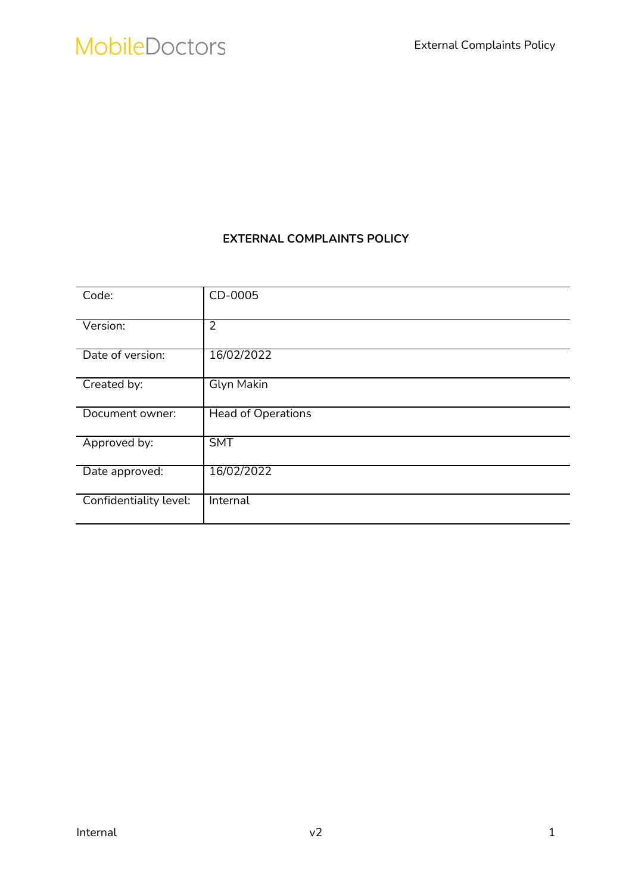### EXTERNAL COMPLAINTS POLICY

| Code:                  | CD-0005                   |
|------------------------|---------------------------|
| Version:               | $\overline{2}$            |
| Date of version:       | 16/02/2022                |
| Created by:            | Glyn Makin                |
| Document owner:        | <b>Head of Operations</b> |
| Approved by:           | <b>SMT</b>                |
| Date approved:         | 16/02/2022                |
| Confidentiality level: | Internal                  |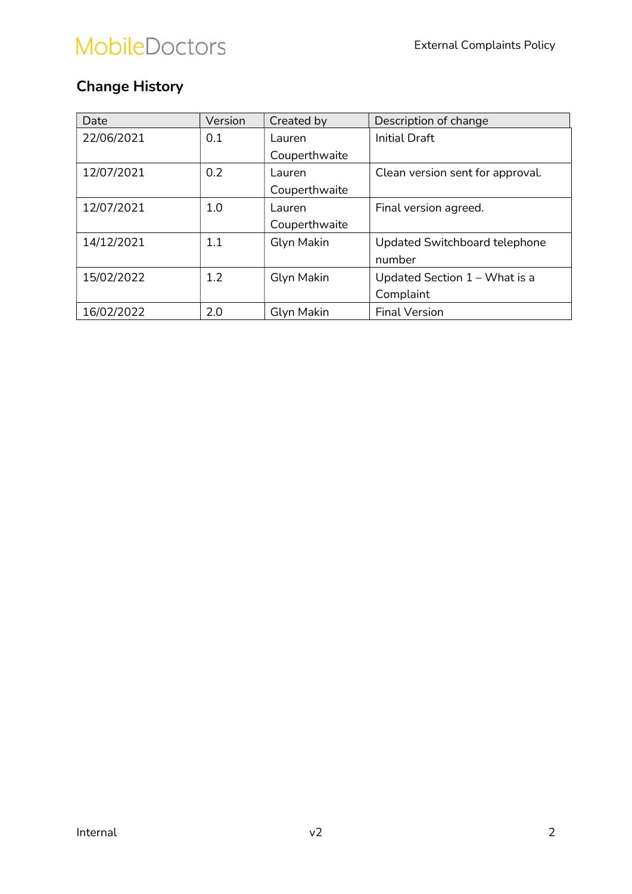## Change History

| Date       | Version | Created by    | Description of change            |  |
|------------|---------|---------------|----------------------------------|--|
| 22/06/2021 | 0.1     | Lauren        | <b>Initial Draft</b>             |  |
|            |         | Couperthwaite |                                  |  |
| 12/07/2021 | 0.2     | Lauren        | Clean version sent for approval. |  |
|            |         | Couperthwaite |                                  |  |
| 12/07/2021 | 1.0     | Lauren        | Final version agreed.            |  |
|            |         | Couperthwaite |                                  |  |
| 14/12/2021 | 1.1     | Glyn Makin    | Updated Switchboard telephone    |  |
|            |         |               | number                           |  |
| 15/02/2022 | 1.2     | Glyn Makin    | Updated Section $1 -$ What is a  |  |
|            |         |               | Complaint                        |  |
| 16/02/2022 | 2.0     | Glyn Makin    | <b>Final Version</b>             |  |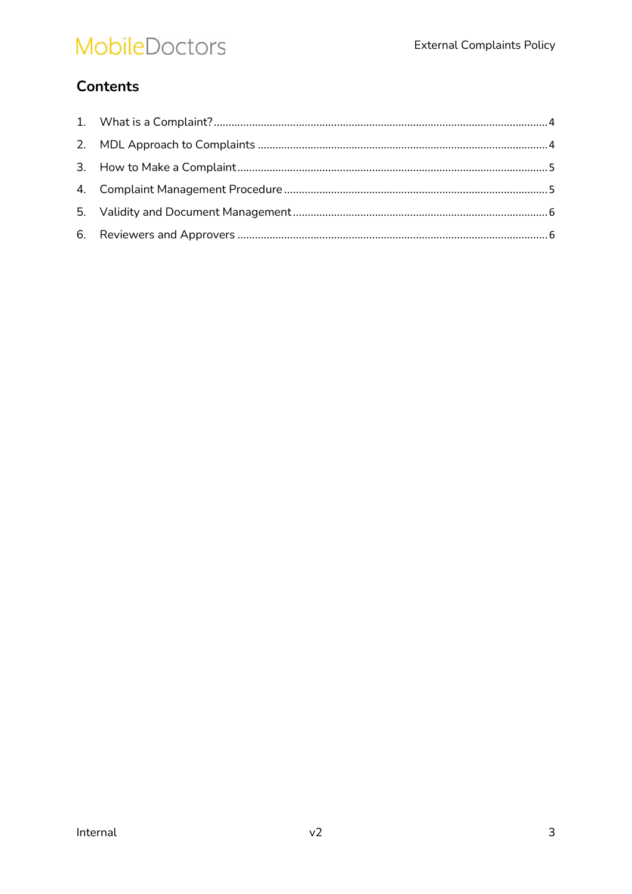## **Contents**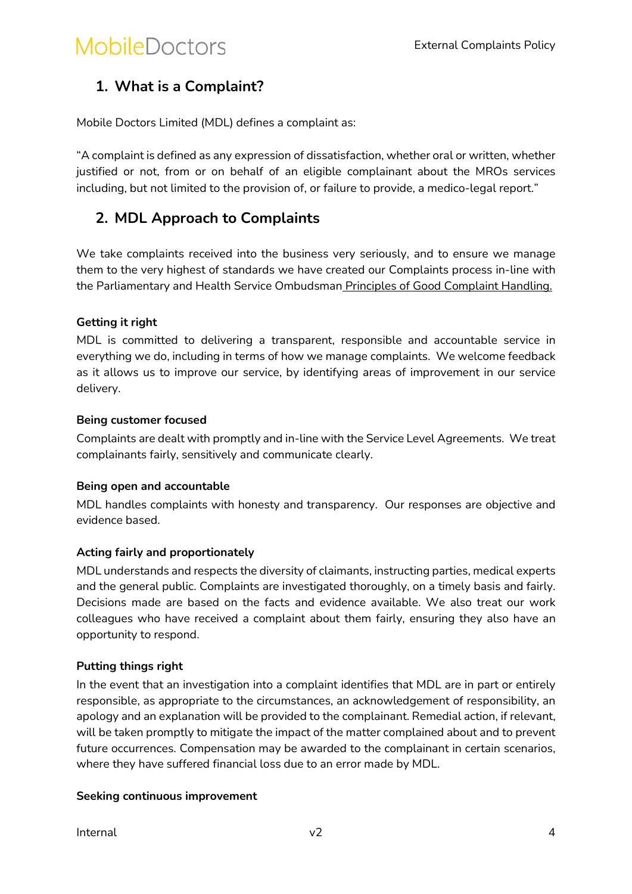## 1. What is a Complaint?

Mobile Doctors Limited (MDL) defines a complaint as:

"A complaint is defined as any expression of dissatisfaction, whether oral or written, whether justified or not, from or on behalf of an eligible complainant about the MROs services including, but not limited to the provision of, or failure to provide, a medico-legal report."

## 2. MDL Approach to Complaints

We take complaints received into the business very seriously, and to ensure we manage them to the very highest of standards we have created our Complaints process in-line with the Parliamentary and Health Service Ombudsman Principles of Good Complaint Handling.

#### Getting it right

MDL is committed to delivering a transparent, responsible and accountable service in everything we do, including in terms of how we manage complaints. We welcome feedback as it allows us to improve our service, by identifying areas of improvement in our service delivery.

#### Being customer focused

Complaints are dealt with promptly and in-line with the Service Level Agreements. We treat complainants fairly, sensitively and communicate clearly.

#### Being open and accountable

MDL handles complaints with honesty and transparency. Our responses are objective and evidence based.

#### Acting fairly and proportionately

MDL understands and respects the diversity of claimants, instructing parties, medical experts and the general public. Complaints are investigated thoroughly, on a timely basis and fairly. Decisions made are based on the facts and evidence available. We also treat our work colleagues who have received a complaint about them fairly, ensuring they also have an opportunity to respond.

#### Putting things right

In the event that an investigation into a complaint identifies that MDL are in part or entirely responsible, as appropriate to the circumstances, an acknowledgement of responsibility, an apology and an explanation will be provided to the complainant. Remedial action, if relevant, will be taken promptly to mitigate the impact of the matter complained about and to prevent future occurrences. Compensation may be awarded to the complainant in certain scenarios, where they have suffered financial loss due to an error made by MDL.

#### Seeking continuous improvement

 $\sqrt{2}$  and  $\sqrt{4}$  and  $\sqrt{2}$  and  $\sqrt{4}$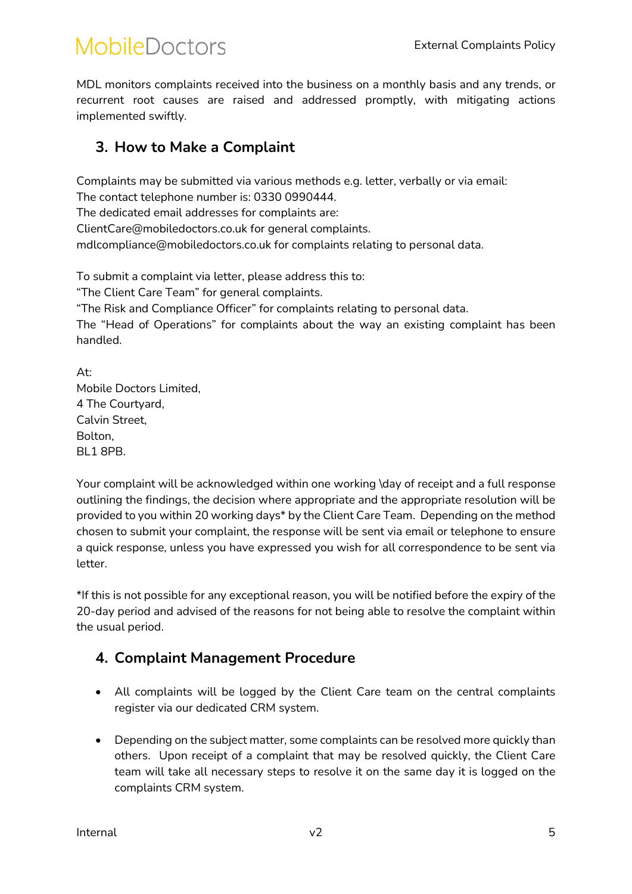MDL monitors complaints received into the business on a monthly basis and any trends, or recurrent root causes are raised and addressed promptly, with mitigating actions implemented swiftly.

### 3. How to Make a Complaint

Complaints may be submitted via various methods e.g. letter, verbally or via email: The contact telephone number is: 0330 0990444. The dedicated email addresses for complaints are: ClientCare@mobiledoctors.co.uk for general complaints.

mdlcompliance@mobiledoctors.co.uk for complaints relating to personal data.

To submit a complaint via letter, please address this to:

"The Client Care Team" for general complaints.

"The Risk and Compliance Officer" for complaints relating to personal data.

The "Head of Operations" for complaints about the way an existing complaint has been handled.

At: Mobile Doctors Limited, 4 The Courtyard, Calvin Street, Bolton, BL1 8PB.

Your complaint will be acknowledged within one working \day of receipt and a full response outlining the findings, the decision where appropriate and the appropriate resolution will be provided to you within 20 working days\* by the Client Care Team. Depending on the method chosen to submit your complaint, the response will be sent via email or telephone to ensure a quick response, unless you have expressed you wish for all correspondence to be sent via letter.

\*If this is not possible for any exceptional reason, you will be notified before the expiry of the 20-day period and advised of the reasons for not being able to resolve the complaint within the usual period.

### 4. Complaint Management Procedure

- All complaints will be logged by the Client Care team on the central complaints register via our dedicated CRM system.
- Depending on the subject matter, some complaints can be resolved more quickly than others. Upon receipt of a complaint that may be resolved quickly, the Client Care team will take all necessary steps to resolve it on the same day it is logged on the complaints CRM system.